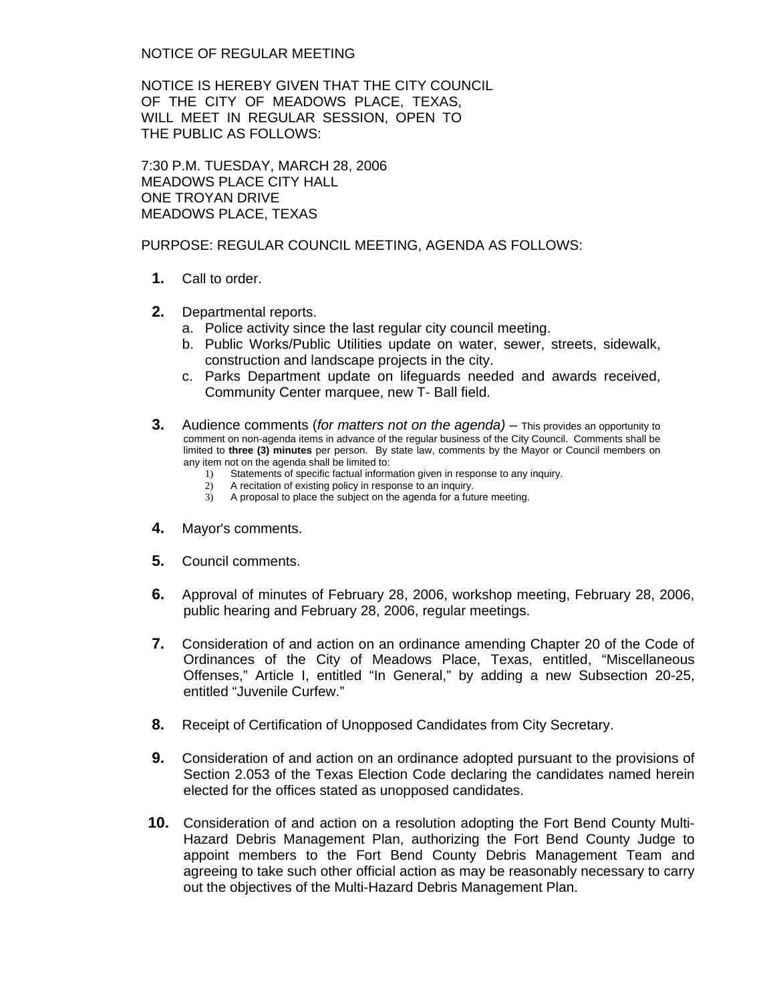NOTICE OF REGULAR MEETING

NOTICE IS HEREBY GIVEN THAT THE CITY COUNCIL OF THE CITY OF MEADOWS PLACE, TEXAS, WILL MEET IN REGULAR SESSION, OPEN TO THE PUBLIC AS FOLLOWS:

7:30 P.M. TUESDAY, MARCH 28, 2006 MEADOWS PLACE CITY HALL ONE TROYAN DRIVE MEADOWS PLACE, TEXAS

PURPOSE: REGULAR COUNCIL MEETING, AGENDA AS FOLLOWS:

- **1.** Call to order.
- **2.** Departmental reports.
	- a. Police activity since the last regular city council meeting.
	- b. Public Works/Public Utilities update on water, sewer, streets, sidewalk, construction and landscape projects in the city.
	- c. Parks Department update on lifeguards needed and awards received, Community Center marquee, new T- Ball field.
- **3.** Audience comments (*for matters not on the agenda)* This provides an opportunity to comment on non-agenda items in advance of the regular business of the City Council. Comments shall be limited to **three (3) minutes** per person. By state law, comments by the Mayor or Council members on any item not on the agenda shall be limited to:
	- 1) Statements of specific factual information given in response to any inquiry.
	- 2) A recitation of existing policy in response to an inquiry.
	- 3) A proposal to place the subject on the agenda for a future meeting.
- **4.** Mayor's comments.
- **5.** Council comments.
- **6.** Approval of minutes of February 28, 2006, workshop meeting, February 28, 2006, public hearing and February 28, 2006, regular meetings.
- **7.** Consideration of and action on an ordinance amending Chapter 20 of the Code of Ordinances of the City of Meadows Place, Texas, entitled, "Miscellaneous Offenses," Article I, entitled "In General," by adding a new Subsection 20-25, entitled "Juvenile Curfew."
- **8.** Receipt of Certification of Unopposed Candidates from City Secretary.
- **9.** Consideration of and action on an ordinance adopted pursuant to the provisions of Section 2.053 of the Texas Election Code declaring the candidates named herein elected for the offices stated as unopposed candidates.
- **10.** Consideration of and action on a resolution adopting the Fort Bend County Multi-Hazard Debris Management Plan, authorizing the Fort Bend County Judge to appoint members to the Fort Bend County Debris Management Team and agreeing to take such other official action as may be reasonably necessary to carry out the objectives of the Multi-Hazard Debris Management Plan.